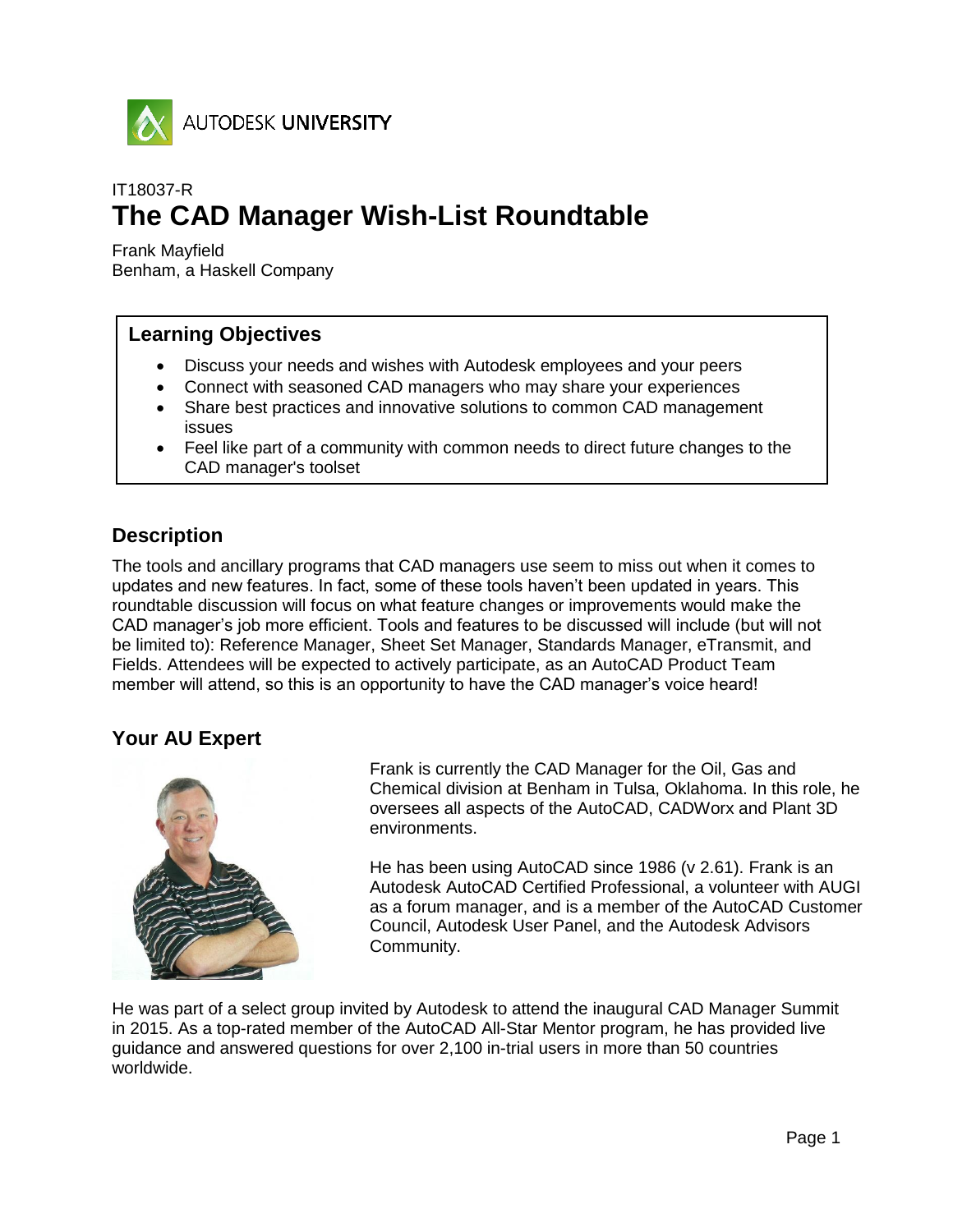

# IT18037-R **The CAD Manager Wish-List Roundtable**

Frank Mayfield Benham, a Haskell Company

## **Learning Objectives**

- Discuss your needs and wishes with Autodesk employees and your peers
- Connect with seasoned CAD managers who may share your experiences
- Share best practices and innovative solutions to common CAD management issues
- Feel like part of a community with common needs to direct future changes to the CAD manager's toolset

### **Description**

The tools and ancillary programs that CAD managers use seem to miss out when it comes to updates and new features. In fact, some of these tools haven't been updated in years. This roundtable discussion will focus on what feature changes or improvements would make the CAD manager's job more efficient. Tools and features to be discussed will include (but will not be limited to): Reference Manager, Sheet Set Manager, Standards Manager, eTransmit, and Fields. Attendees will be expected to actively participate, as an AutoCAD Product Team member will attend, so this is an opportunity to have the CAD manager's voice heard!

## **Your AU Expert**



Frank is currently the CAD Manager for the Oil, Gas and Chemical division at Benham in Tulsa, Oklahoma. In this role, he oversees all aspects of the AutoCAD, CADWorx and Plant 3D environments.

He has been using AutoCAD since 1986 (v 2.61). Frank is an Autodesk AutoCAD Certified Professional, a volunteer with AUGI as a forum manager, and is a member of the AutoCAD Customer Council, Autodesk User Panel, and the Autodesk Advisors Community.

He was part of a select group invited by Autodesk to attend the inaugural CAD Manager Summit in 2015. As a top-rated member of the AutoCAD All-Star Mentor program, he has provided live guidance and answered questions for over 2,100 in-trial users in more than 50 countries worldwide.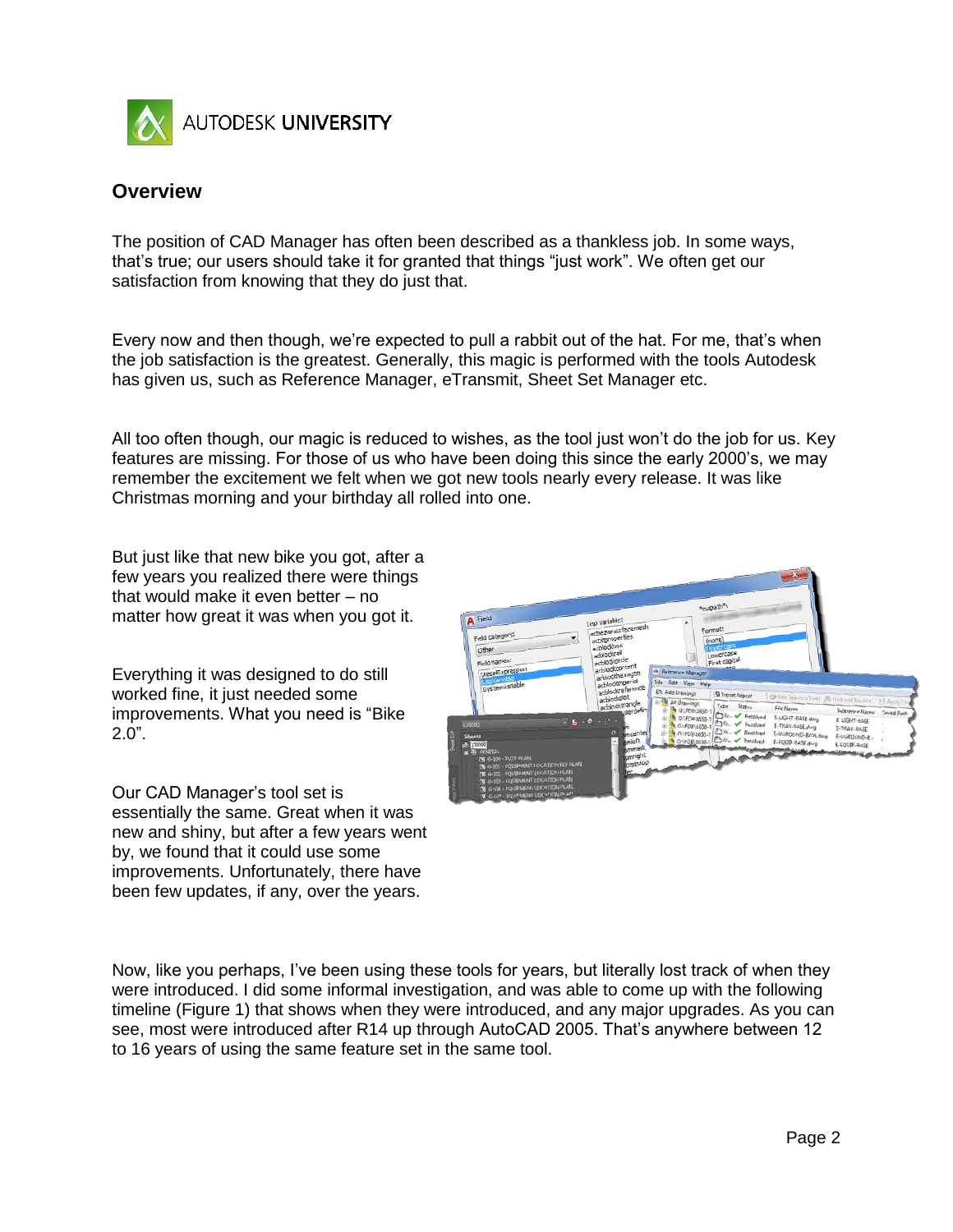

### **Overview**

The position of CAD Manager has often been described as a thankless job. In some ways, that's true; our users should take it for granted that things "just work". We often get our satisfaction from knowing that they do just that.

Every now and then though, we're expected to pull a rabbit out of the hat. For me, that's when the job satisfaction is the greatest. Generally, this magic is performed with the tools Autodesk has given us, such as Reference Manager, eTransmit, Sheet Set Manager etc.

All too often though, our magic is reduced to wishes, as the tool just won't do the job for us. Key features are missing. For those of us who have been doing this since the early 2000's, we may remember the excitement we felt when we got new tools nearly every release. It was like Christmas morning and your birthday all rolled into one.

But just like that new bike you got, after a few years you realized there were things that would make it even better – no matter how great it was when you got it.

Everything it was designed to do still worked fine, it just needed some improvements. What you need is "Bike 2.0".

Our CAD Manager's tool set is essentially the same. Great when it was new and shiny, but after a few years went by, we found that it could use some improvements. Unfortunately, there have been few updates, if any, over the years.



Now, like you perhaps, I've been using these tools for years, but literally lost track of when they were introduced. I did some informal investigation, and was able to come up with the following timeline (Figure 1) that shows when they were introduced, and any major upgrades. As you can see, most were introduced after R14 up through AutoCAD 2005. That's anywhere between 12 to 16 years of using the same feature set in the same tool.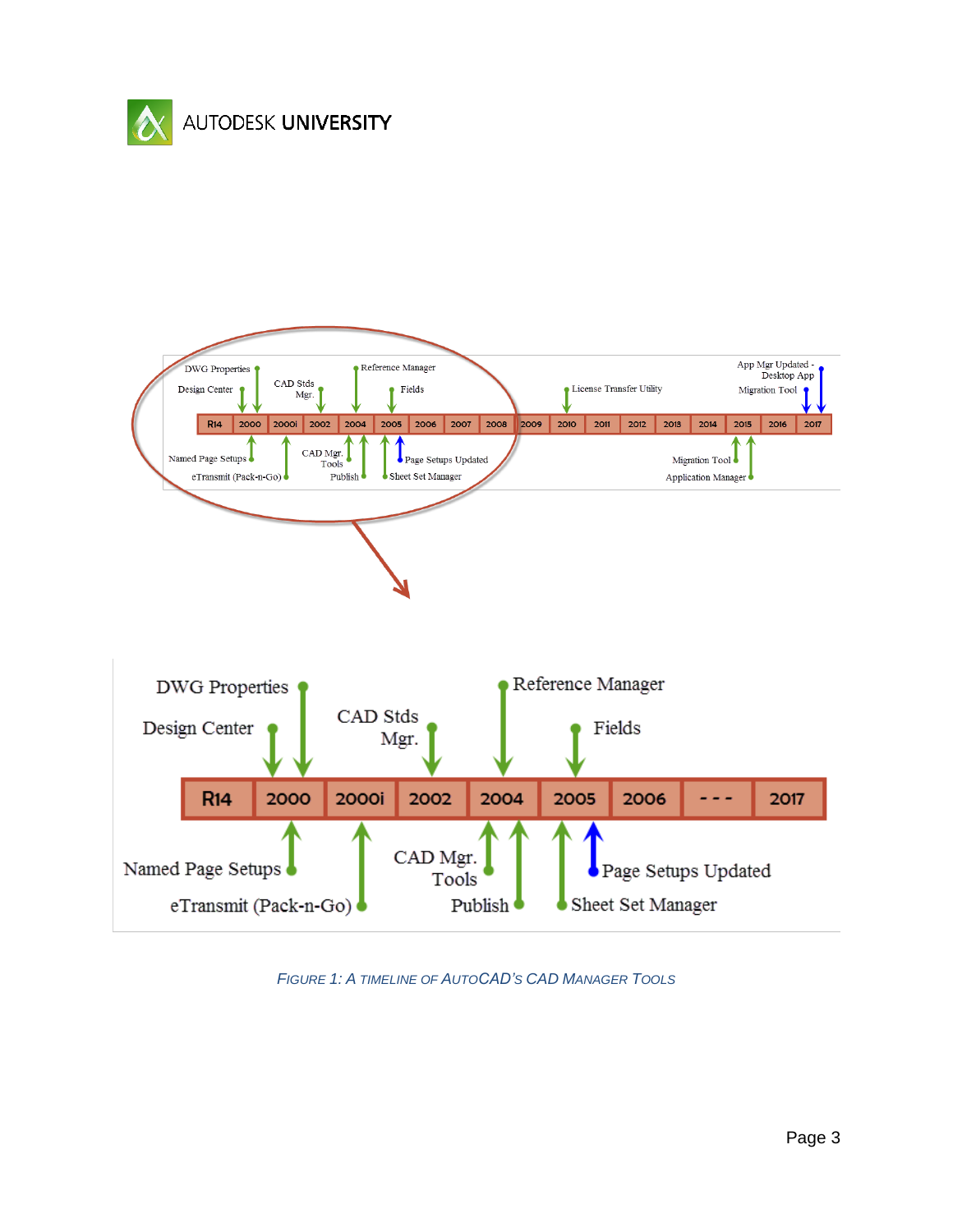



*FIGURE 1: A TIMELINE OF AUTOCAD'S CAD MANAGER TOOLS*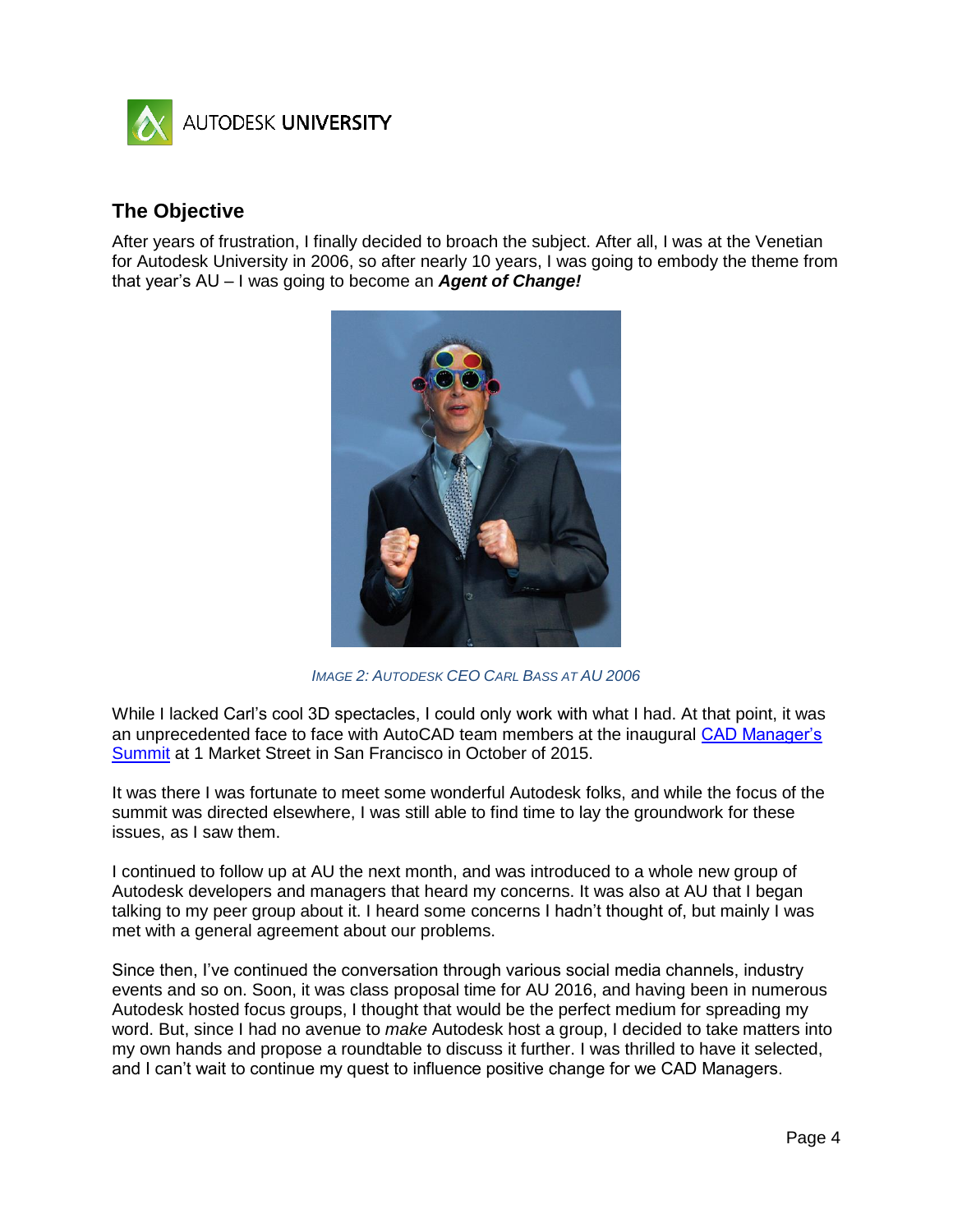

### **The Objective**

After years of frustration, I finally decided to broach the subject. After all, I was at the Venetian for Autodesk University in 2006, so after nearly 10 years, I was going to embody the theme from that year's AU – I was going to become an *Agent of Change!* 



*IMAGE 2: AUTODESK CEO CARL BASS AT AU 2006*

While I lacked Carl's cool 3D spectacles, I could only work with what I had. At that point, it was an unprecedented face to face with AutoCAD team members at the inaugural [CAD Manager's](http://cadmanager.autodesk.com/)  [Summit](http://cadmanager.autodesk.com/) at 1 Market Street in San Francisco in October of 2015.

It was there I was fortunate to meet some wonderful Autodesk folks, and while the focus of the summit was directed elsewhere, I was still able to find time to lay the groundwork for these issues, as I saw them.

I continued to follow up at AU the next month, and was introduced to a whole new group of Autodesk developers and managers that heard my concerns. It was also at AU that I began talking to my peer group about it. I heard some concerns I hadn't thought of, but mainly I was met with a general agreement about our problems.

Since then, I've continued the conversation through various social media channels, industry events and so on. Soon, it was class proposal time for AU 2016, and having been in numerous Autodesk hosted focus groups, I thought that would be the perfect medium for spreading my word. But, since I had no avenue to *make* Autodesk host a group, I decided to take matters into my own hands and propose a roundtable to discuss it further. I was thrilled to have it selected, and I can't wait to continue my quest to influence positive change for we CAD Managers.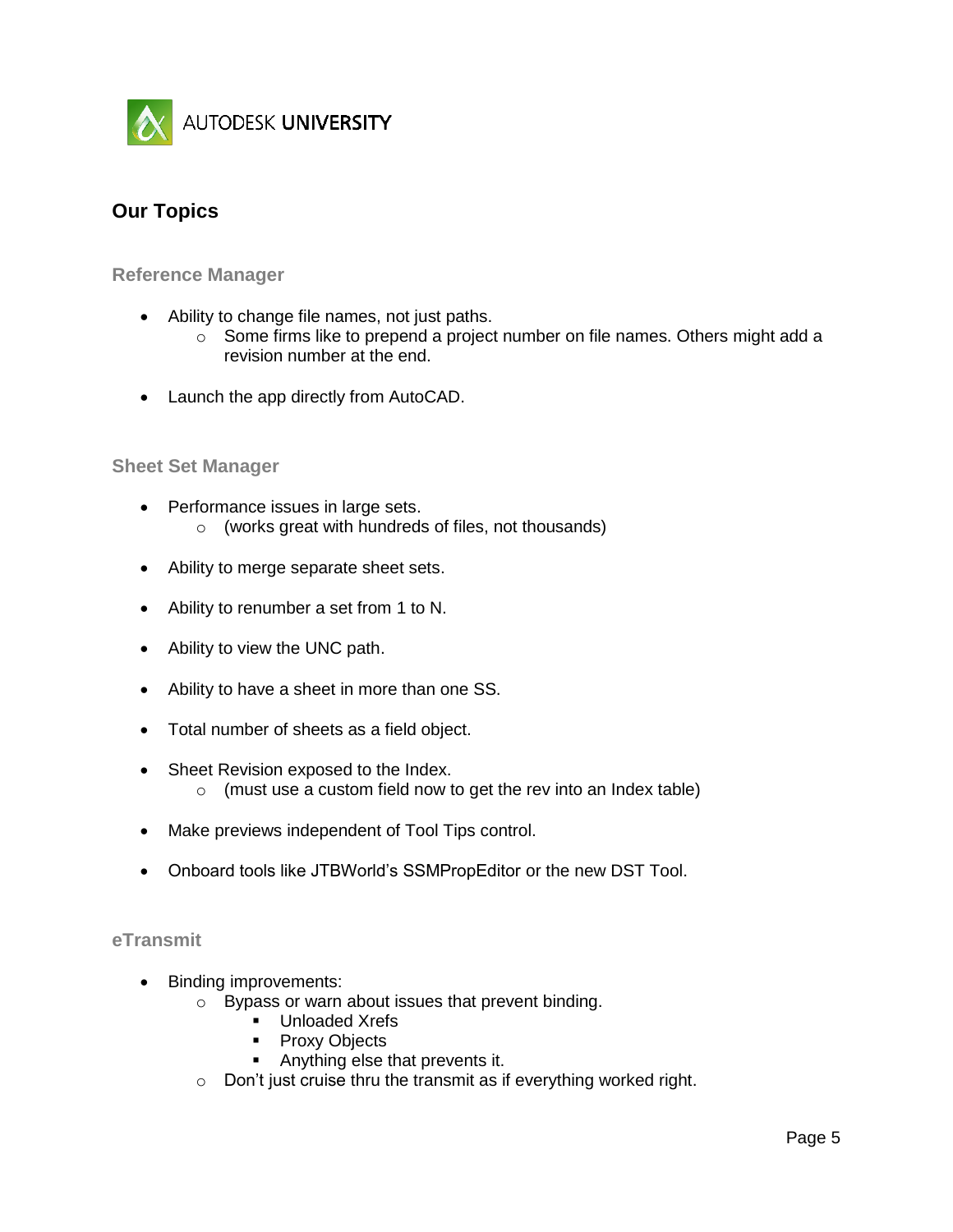

## **Our Topics**

**Reference Manager**

- Ability to change file names, not just paths.
	- $\circ$  Some firms like to prepend a project number on file names. Others might add a revision number at the end.
- Launch the app directly from AutoCAD.

#### **Sheet Set Manager**

- Performance issues in large sets.
	- o (works great with hundreds of files, not thousands)
- Ability to merge separate sheet sets.
- Ability to renumber a set from 1 to N.
- Ability to view the UNC path.
- Ability to have a sheet in more than one SS.
- Total number of sheets as a field object.
- Sheet Revision exposed to the Index.
	- $\circ$  (must use a custom field now to get the rev into an Index table)
- Make previews independent of Tool Tips control.
- Onboard tools like JTBWorld's SSMPropEditor or the new DST Tool.

#### **eTransmit**

- Binding improvements:
	- o Bypass or warn about issues that prevent binding.
		- **Unloaded Xrefs** 
			- Proxy Objects
			- **Anything else that prevents it.**
	- $\circ$  Don't just cruise thru the transmit as if everything worked right.